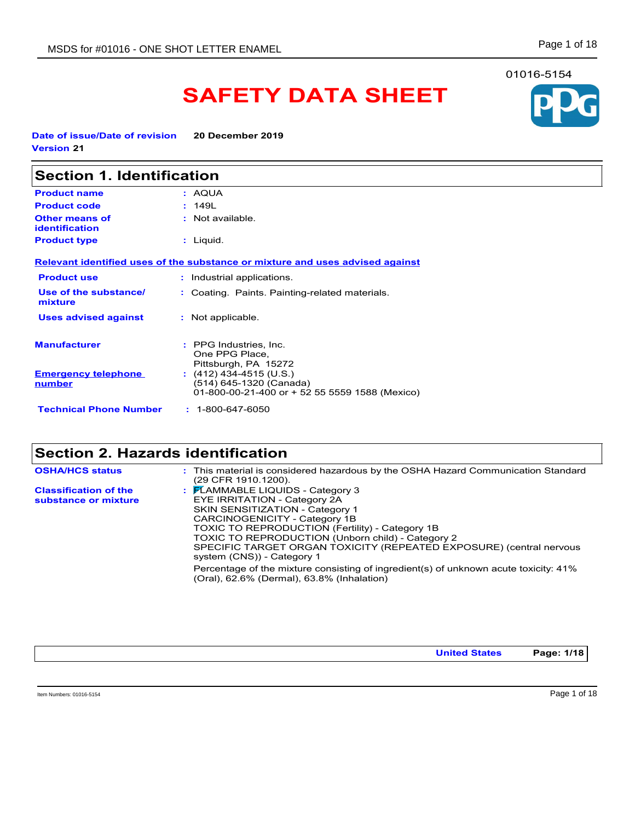# **SAFETY DATA SHEET**

**Date of issue/Date of revision 20 December 2019 Version 21**

| <b>Section 1. Identification</b>               |                                                                                                      |  |
|------------------------------------------------|------------------------------------------------------------------------------------------------------|--|
| <b>Product name</b>                            | : AQUA                                                                                               |  |
| <b>Product code</b>                            | : 149L                                                                                               |  |
| <b>Other means of</b><br><b>identification</b> | : Not available.                                                                                     |  |
| <b>Product type</b>                            | : Liquid.                                                                                            |  |
|                                                | Relevant identified uses of the substance or mixture and uses advised against                        |  |
| <b>Product use</b>                             | : Industrial applications.                                                                           |  |
| Use of the substance/<br>mixture               | : Coating. Paints. Painting-related materials.                                                       |  |
| <b>Uses advised against</b>                    | : Not applicable.                                                                                    |  |
| <b>Manufacturer</b>                            | : PPG Industries, Inc.<br>One PPG Place,<br>Pittsburgh, PA 15272                                     |  |
| <b>Emergency telephone</b><br><u>number</u>    | $(412)$ 434-4515 (U.S.)<br>(514) 645-1320 (Canada)<br>01-800-00-21-400 or + 52 55 5559 1588 (Mexico) |  |
| <b>Technical Phone Number</b>                  | $: 1 - 800 - 647 - 6050$                                                                             |  |

# **Section 2. Hazards identification**

| <b>OSHA/HCS status</b>                               | : This material is considered hazardous by the OSHA Hazard Communication Standard<br>(29 CFR 1910 1200).                                                                                                                                                                                                                                                                         |
|------------------------------------------------------|----------------------------------------------------------------------------------------------------------------------------------------------------------------------------------------------------------------------------------------------------------------------------------------------------------------------------------------------------------------------------------|
| <b>Classification of the</b><br>substance or mixture | $\frac{1}{2}$ $\mathsf{F}$ LAMMABLE LIQUIDS - Category 3<br>EYE IRRITATION - Category 2A<br><b>SKIN SENSITIZATION - Category 1</b><br>CARCINOGENICITY - Category 1B<br>TOXIC TO REPRODUCTION (Fertility) - Category 1B<br>TOXIC TO REPRODUCTION (Unborn child) - Category 2<br>SPECIFIC TARGET ORGAN TOXICITY (REPEATED EXPOSURE) (central nervous<br>system (CNS)) - Category 1 |
|                                                      | Percentage of the mixture consisting of ingredient(s) of unknown acute toxicity: 41%<br>(Oral), 62.6% (Dermal), 63.8% (Inhalation)                                                                                                                                                                                                                                               |

**United States Page: 1/18**

Item Numbers: 01016-5154 Page 1 of 18

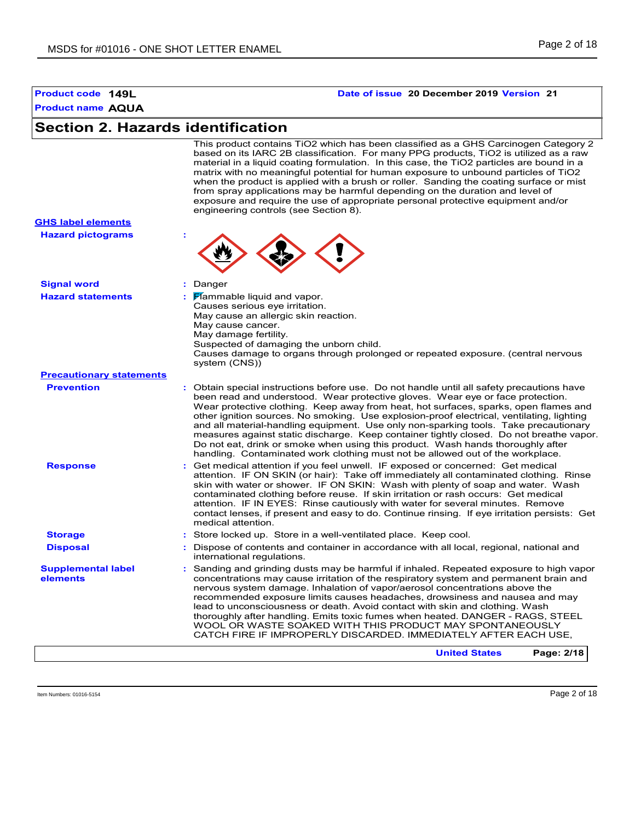#### **Product name AQUA Section 2. Hazards identification Signal word :** Danger Hazard statements **:** Flammable liquid and vapor. Causes serious eye irritation. May cause an allergic skin reaction. May cause cancer. May damage fertility. Suspected of damaging the unborn child. Causes damage to organs through prolonged or repeated exposure. (central nervous system (CNS)) **Hazard pictograms : Precautionary statements Prevention :** Obtain special instructions before use. Do not handle until all safety precautions have been read and understood. Wear protective gloves. Wear eye or face protection. Wear protective clothing. Keep away from heat, hot surfaces, sparks, open flames and other ignition sources. No smoking. Use explosion-proof electrical, ventilating, lighting and all material-handling equipment. Use only non-sparking tools. Take precautionary measures against static discharge. Keep container tightly closed. Do not breathe vapor. Do not eat, drink or smoke when using this product. Wash hands thoroughly after handling. Contaminated work clothing must not be allowed out of the workplace. **Response :** Get medical attention if you feel unwell. IF exposed or concerned: Get medical attention. IF ON SKIN (or hair): Take off immediately all contaminated clothing. Rinse skin with water or shower. IF ON SKIN: Wash with plenty of soap and water. Wash contaminated clothing before reuse. If skin irritation or rash occurs: Get medical attention. IF IN EYES: Rinse cautiously with water for several minutes. Remove contact lenses, if present and easy to do. Continue rinsing. If eye irritation persists: Get medical attention. **Storage :** Store locked up. Store in a well-ventilated place. Keep cool. **Disposal :** Dispose of contents and container in accordance with all local, regional, national and international regulations. **GHS label elements Supplemental label elements :** Sanding and grinding dusts may be harmful if inhaled. Repeated exposure to high vapor concentrations may cause irritation of the respiratory system and permanent brain and nervous system damage. Inhalation of vapor/aerosol concentrations above the recommended exposure limits causes headaches, drowsiness and nausea and may lead to unconsciousness or death. Avoid contact with skin and clothing. Wash thoroughly after handling. Emits toxic fumes when heated. DANGER - RAGS, STEEL WOOL OR WASTE SOAKED WITH THIS PRODUCT MAY SPONTANEOUSLY CATCH FIRE IF IMPROPERLY DISCARDED. IMMEDIATELY AFTER EACH USE, This product contains TiO2 which has been classified as a GHS Carcinogen Category 2 based on its IARC 2B classification. For many PPG products, TiO2 is utilized as a raw material in a liquid coating formulation. In this case, the TiO2 particles are bound in a matrix with no meaningful potential for human exposure to unbound particles of TiO2 when the product is applied with a brush or roller. Sanding the coating surface or mist from spray applications may be harmful depending on the duration and level of exposure and require the use of appropriate personal protective equipment and/or engineering controls (see Section 8). **United States Page: 2/18**

**Product code 149L Date of issue 20 December 2019 Version 21**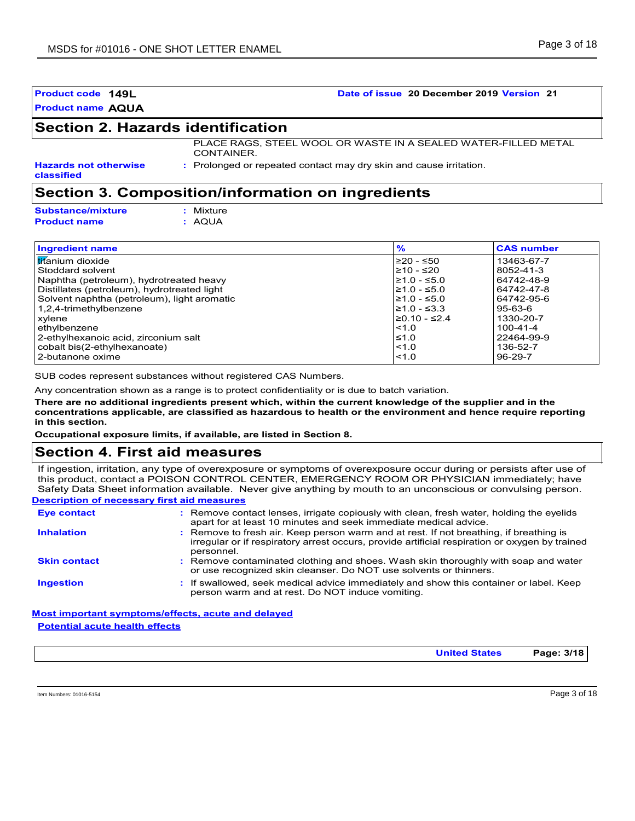**Product code 149L Date of issue 20 December 2019 Version 21**

# **Section 2. Hazards identification**

PLACE RAGS, STEEL WOOL OR WASTE IN A SEALED WATER-FILLED METAL CONTAINER.

**Hazards not otherwise classified**

**:** Prolonged or repeated contact may dry skin and cause irritation.

# **Section 3. Composition/information on ingredients**

| <b>Substance/mixture</b> | : Mixture |
|--------------------------|-----------|
| <b>Product name</b>      | : AQUA    |

| <b>Ingredient name</b>                      | %                  | <b>CAS number</b> |  |
|---------------------------------------------|--------------------|-------------------|--|
| <b>titanium</b> dioxide                     | l≥20 - ≤50         | 13463-67-7        |  |
| Stoddard solvent                            | l≥10 - ≤20         | 8052-41-3         |  |
| Naphtha (petroleum), hydrotreated heavy     | l≥1.0 - ≤5.0       | 64742-48-9        |  |
| Distillates (petroleum), hydrotreated light | $≥1.0 - ≤5.0$      | 64742-47-8        |  |
| Solvent naphtha (petroleum), light aromatic | l≥1.0 - ≤5.0       | 64742-95-6        |  |
| 1,2,4-trimethylbenzene                      | $≥1.0 - ≤3.3$      | 95-63-6           |  |
| xvlene                                      | $\geq$ 0.10 - ≤2.4 | 1330-20-7         |  |
| ethylbenzene                                | $\leq 1.0$         | $100 - 41 - 4$    |  |
| 2-ethylhexanoic acid, zirconium salt        | $\leq 1.0$         | 22464-99-9        |  |
| cobalt bis(2-ethylhexanoate)                | < 1.0              | 136-52-7          |  |
| 2-butanone oxime                            | < 1.0              | $96 - 29 - 7$     |  |

SUB codes represent substances without registered CAS Numbers.

Any concentration shown as a range is to protect confidentiality or is due to batch variation.

**There are no additional ingredients present which, within the current knowledge of the supplier and in the concentrations applicable, are classified as hazardous to health or the environment and hence require reporting in this section.**

**Occupational exposure limits, if available, are listed in Section 8.**

# **Section 4. First aid measures**

If ingestion, irritation, any type of overexposure or symptoms of overexposure occur during or persists after use of this product, contact a POISON CONTROL CENTER, EMERGENCY ROOM OR PHYSICIAN immediately; have Safety Data Sheet information available. Never give anything by mouth to an unconscious or convulsing person.

#### **Description of necessary first aid measures**

| <b>Eye contact</b>  | : Remove contact lenses, irrigate copiously with clean, fresh water, holding the eyelids<br>apart for at least 10 minutes and seek immediate medical advice.                                           |
|---------------------|--------------------------------------------------------------------------------------------------------------------------------------------------------------------------------------------------------|
| <b>Inhalation</b>   | : Remove to fresh air. Keep person warm and at rest. If not breathing, if breathing is<br>irregular or if respiratory arrest occurs, provide artificial respiration or oxygen by trained<br>personnel. |
| <b>Skin contact</b> | : Remove contaminated clothing and shoes. Wash skin thoroughly with soap and water<br>or use recognized skin cleanser. Do NOT use solvents or thinners.                                                |
| <b>Ingestion</b>    | : If swallowed, seek medical advice immediately and show this container or label. Keep<br>person warm and at rest. Do NOT induce vomiting.                                                             |

### **Most important symptoms/effects, acute and delayed Potential acute health effects**

**United States Page: 3/18**

Item Numbers: 01016-5154 Page 3 of 18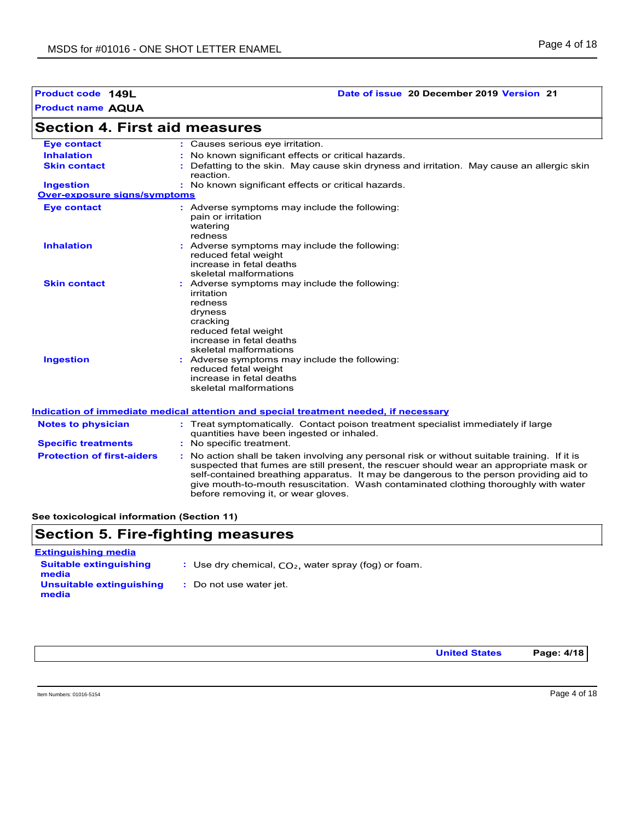### **Product code 149L Date of issue 20 December 2019 Version 21**

| <b>Section 4. First aid measures</b> |                                                                                                                                                                                         |  |
|--------------------------------------|-----------------------------------------------------------------------------------------------------------------------------------------------------------------------------------------|--|
| <b>Eve contact</b>                   | : Causes serious eye irritation.                                                                                                                                                        |  |
| <b>Inhalation</b>                    | : No known significant effects or critical hazards.                                                                                                                                     |  |
| <b>Skin contact</b>                  | Defatting to the skin. May cause skin dryness and irritation. May cause an allergic skin<br>reaction.                                                                                   |  |
| <b>Ingestion</b>                     | : No known significant effects or critical hazards.                                                                                                                                     |  |
| <b>Over-exposure signs/symptoms</b>  |                                                                                                                                                                                         |  |
| <b>Eye contact</b>                   | : Adverse symptoms may include the following:<br>pain or irritation<br>watering<br>redness                                                                                              |  |
| <b>Inhalation</b>                    | : Adverse symptoms may include the following:<br>reduced fetal weight<br>increase in fetal deaths<br>skeletal malformations                                                             |  |
| <b>Skin contact</b>                  | : Adverse symptoms may include the following:<br>irritation<br>redness<br>dryness<br>cracking<br>reduced fetal weight<br>increase in fetal deaths<br>skeletal malformations             |  |
| <b>Ingestion</b>                     | : Adverse symptoms may include the following:<br>reduced fetal weight<br>increase in fetal deaths<br>skeletal malformations                                                             |  |
|                                      | <u>Indication of immediate medical attention and special treatment needed, if necessary</u>                                                                                             |  |
| <b>Notes to physician</b>            | : Treat symptomatically. Contact poison treatment specialist immediately if large<br>quantities have been ingested or inhaled.                                                          |  |
| <b>Specific treatments</b>           | : No specific treatment.                                                                                                                                                                |  |
| <b>Protection of first-aiders</b>    | : No action shall be taken involving any personal risk or without suitable training. If it is<br>suspected that fumes are still present, the rescuer should wear an appropriate mask or |  |

**See toxicological information (Section 11)**

# **Section 5. Fire-fighting measures** og) or foam<mark>.</mark> **Extinguishing media**

before removing it, or wear gloves.

self-contained breathing apparatus. It may be dangerous to the person providing aid to give mouth-to-mouth resuscitation. Wash contaminated clothing thoroughly with water

| <b>Suitable extinguishing</b><br>media | : Use dry chemical, $CO2$ , water spray (for |
|----------------------------------------|----------------------------------------------|
| Unsuitable extinguishing<br>media      | : Do not use water jet.                      |

**United States Page: 4/18**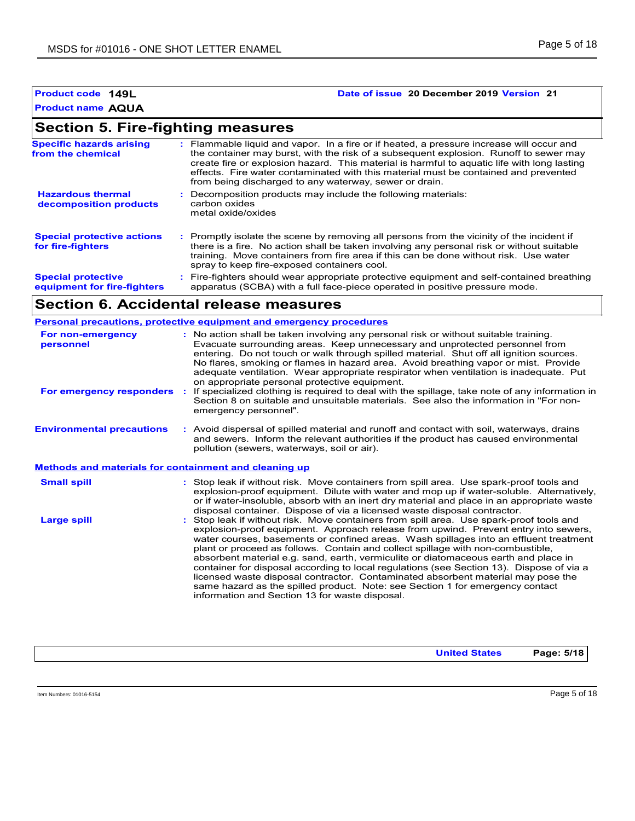### **Product code 149L Date of issue 20 December 2019 Version 21**

# **Section 5. Fire-fighting measures**

| <b>Specific hazards arising</b><br>from the chemical     | : Flammable liquid and vapor. In a fire or if heated, a pressure increase will occur and<br>the container may burst, with the risk of a subsequent explosion. Runoff to sewer may<br>create fire or explosion hazard. This material is harmful to aquatic life with long lasting<br>effects. Fire water contaminated with this material must be contained and prevented<br>from being discharged to any waterway, sewer or drain. |
|----------------------------------------------------------|-----------------------------------------------------------------------------------------------------------------------------------------------------------------------------------------------------------------------------------------------------------------------------------------------------------------------------------------------------------------------------------------------------------------------------------|
| <b>Hazardous thermal</b><br>decomposition products       | Decomposition products may include the following materials:<br>carbon oxides<br>metal oxide/oxides                                                                                                                                                                                                                                                                                                                                |
| <b>Special protective actions</b><br>for fire-fighters   | : Promptly isolate the scene by removing all persons from the vicinity of the incident if<br>there is a fire. No action shall be taken involving any personal risk or without suitable<br>training. Move containers from fire area if this can be done without risk. Use water<br>spray to keep fire-exposed containers cool.                                                                                                     |
| <b>Special protective</b><br>equipment for fire-fighters | : Fire-fighters should wear appropriate protective equipment and self-contained breathing<br>apparatus (SCBA) with a full face-piece operated in positive pressure mode.                                                                                                                                                                                                                                                          |

# **Section 6. Accidental release measures**

|                                                              | Personal precautions, protective equipment and emergency procedures                                                                                                                                                                                                                                                                                                                                                                                                                                                                                                                                                                                                                                                                                                |
|--------------------------------------------------------------|--------------------------------------------------------------------------------------------------------------------------------------------------------------------------------------------------------------------------------------------------------------------------------------------------------------------------------------------------------------------------------------------------------------------------------------------------------------------------------------------------------------------------------------------------------------------------------------------------------------------------------------------------------------------------------------------------------------------------------------------------------------------|
| For non-emergency<br>personnel                               | : No action shall be taken involving any personal risk or without suitable training.<br>Evacuate surrounding areas. Keep unnecessary and unprotected personnel from<br>entering. Do not touch or walk through spilled material. Shut off all ignition sources.<br>No flares, smoking or flames in hazard area. Avoid breathing vapor or mist. Provide<br>adequate ventilation. Wear appropriate respirator when ventilation is inadequate. Put<br>on appropriate personal protective equipment.                                                                                                                                                                                                                                                                    |
| For emergency responders                                     | If specialized clothing is required to deal with the spillage, take note of any information in<br>Section 8 on suitable and unsuitable materials. See also the information in "For non-<br>emergency personnel".                                                                                                                                                                                                                                                                                                                                                                                                                                                                                                                                                   |
| <b>Environmental precautions</b>                             | : Avoid dispersal of spilled material and runoff and contact with soil, waterways, drains<br>and sewers. Inform the relevant authorities if the product has caused environmental<br>pollution (sewers, waterways, soil or air).                                                                                                                                                                                                                                                                                                                                                                                                                                                                                                                                    |
| <b>Methods and materials for containment and cleaning up</b> |                                                                                                                                                                                                                                                                                                                                                                                                                                                                                                                                                                                                                                                                                                                                                                    |
| <b>Small spill</b>                                           | : Stop leak if without risk. Move containers from spill area. Use spark-proof tools and<br>explosion-proof equipment. Dilute with water and mop up if water-soluble. Alternatively,<br>or if water-insoluble, absorb with an inert dry material and place in an appropriate waste<br>disposal container. Dispose of via a licensed waste disposal contractor.                                                                                                                                                                                                                                                                                                                                                                                                      |
| <b>Large spill</b>                                           | Stop leak if without risk. Move containers from spill area. Use spark-proof tools and<br>explosion-proof equipment. Approach release from upwind. Prevent entry into sewers,<br>water courses, basements or confined areas. Wash spillages into an effluent treatment<br>plant or proceed as follows. Contain and collect spillage with non-combustible,<br>absorbent material e.g. sand, earth, vermiculite or diatomaceous earth and place in<br>container for disposal according to local regulations (see Section 13). Dispose of via a<br>licensed waste disposal contractor. Contaminated absorbent material may pose the<br>same hazard as the spilled product. Note: see Section 1 for emergency contact<br>information and Section 13 for waste disposal. |

**United States Page: 5/18**

Item Numbers: 01016-5154 Page 5 of 18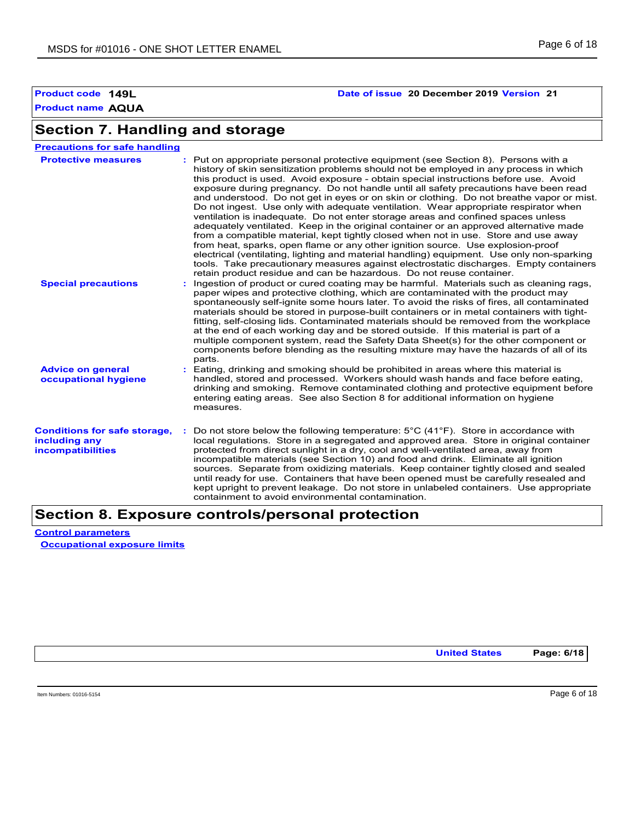# **Product code 149L Date of issue 20 December 2019 Version 21**

# **Section 7. Handling and storage**

| <b>Precautions for safe handling</b>                                             |                                                                                                                                                                                                                                                                                                                                                                                                                                                                                                                                                                                                                                                                                                                                                                                                                                                                                                                                                                                                                                                                                                                                                                     |
|----------------------------------------------------------------------------------|---------------------------------------------------------------------------------------------------------------------------------------------------------------------------------------------------------------------------------------------------------------------------------------------------------------------------------------------------------------------------------------------------------------------------------------------------------------------------------------------------------------------------------------------------------------------------------------------------------------------------------------------------------------------------------------------------------------------------------------------------------------------------------------------------------------------------------------------------------------------------------------------------------------------------------------------------------------------------------------------------------------------------------------------------------------------------------------------------------------------------------------------------------------------|
| <b>Protective measures</b>                                                       | : Put on appropriate personal protective equipment (see Section 8). Persons with a<br>history of skin sensitization problems should not be employed in any process in which<br>this product is used. Avoid exposure - obtain special instructions before use. Avoid<br>exposure during pregnancy. Do not handle until all safety precautions have been read<br>and understood. Do not get in eyes or on skin or clothing. Do not breathe vapor or mist.<br>Do not ingest. Use only with adequate ventilation. Wear appropriate respirator when<br>ventilation is inadequate. Do not enter storage areas and confined spaces unless<br>adequately ventilated. Keep in the original container or an approved alternative made<br>from a compatible material, kept tightly closed when not in use. Store and use away<br>from heat, sparks, open flame or any other ignition source. Use explosion-proof<br>electrical (ventilating, lighting and material handling) equipment. Use only non-sparking<br>tools. Take precautionary measures against electrostatic discharges. Empty containers<br>retain product residue and can be hazardous. Do not reuse container. |
| <b>Special precautions</b>                                                       | Ingestion of product or cured coating may be harmful. Materials such as cleaning rags,<br>paper wipes and protective clothing, which are contaminated with the product may<br>spontaneously self-ignite some hours later. To avoid the risks of fires, all contaminated<br>materials should be stored in purpose-built containers or in metal containers with tight-<br>fitting, self-closing lids. Contaminated materials should be removed from the workplace<br>at the end of each working day and be stored outside. If this material is part of a<br>multiple component system, read the Safety Data Sheet(s) for the other component or<br>components before blending as the resulting mixture may have the hazards of all of its<br>parts.                                                                                                                                                                                                                                                                                                                                                                                                                   |
| <b>Advice on general</b><br>occupational hygiene                                 | Eating, drinking and smoking should be prohibited in areas where this material is<br>handled, stored and processed. Workers should wash hands and face before eating,<br>drinking and smoking. Remove contaminated clothing and protective equipment before<br>entering eating areas. See also Section 8 for additional information on hygiene<br>measures.                                                                                                                                                                                                                                                                                                                                                                                                                                                                                                                                                                                                                                                                                                                                                                                                         |
| <b>Conditions for safe storage,</b><br>including any<br><b>incompatibilities</b> | Do not store below the following temperature: $5^{\circ}$ C (41 $^{\circ}$ F). Store in accordance with<br>local regulations. Store in a segregated and approved area. Store in original container<br>protected from direct sunlight in a dry, cool and well-ventilated area, away from<br>incompatible materials (see Section 10) and food and drink. Eliminate all ignition<br>sources. Separate from oxidizing materials. Keep container tightly closed and sealed<br>until ready for use. Containers that have been opened must be carefully resealed and<br>kept upright to prevent leakage. Do not store in unlabeled containers. Use appropriate<br>containment to avoid environmental contamination.                                                                                                                                                                                                                                                                                                                                                                                                                                                        |

# **Section 8. Exposure controls/personal protection**

**Control parameters Occupational exposure limits**

**United States Page: 6/18**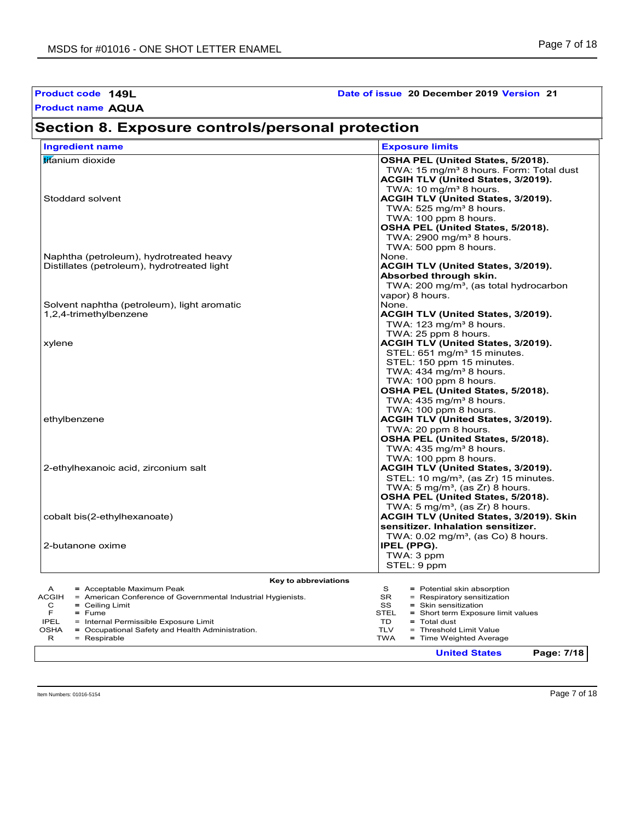| Product code 149L<br>Date of issue 20 December 2019 Version 21<br><b>Product name AQUA</b>                                                                                                                                                                                                                  |                                                                                                                                                                                                                                                                             |  |  |  |
|-------------------------------------------------------------------------------------------------------------------------------------------------------------------------------------------------------------------------------------------------------------------------------------------------------------|-----------------------------------------------------------------------------------------------------------------------------------------------------------------------------------------------------------------------------------------------------------------------------|--|--|--|
| Section 8. Exposure controls/personal protection                                                                                                                                                                                                                                                            |                                                                                                                                                                                                                                                                             |  |  |  |
| <b>Ingredient name</b>                                                                                                                                                                                                                                                                                      | <b>Exposure limits</b>                                                                                                                                                                                                                                                      |  |  |  |
| titanium dioxide                                                                                                                                                                                                                                                                                            | OSHA PEL (United States, 5/2018).<br>TWA: 15 mg/m <sup>3</sup> 8 hours. Form: Total dust<br>ACGIH TLV (United States, 3/2019).                                                                                                                                              |  |  |  |
| Stoddard solvent                                                                                                                                                                                                                                                                                            | TWA: 10 mg/m <sup>3</sup> 8 hours.<br>ACGIH TLV (United States, 3/2019).<br>TWA: $525$ mg/m <sup>3</sup> 8 hours.<br>TWA: 100 ppm 8 hours.<br>OSHA PEL (United States, 5/2018).<br>TWA: $2900 \text{ mg/m}^3$ 8 hours.                                                      |  |  |  |
| Naphtha (petroleum), hydrotreated heavy<br>Distillates (petroleum), hydrotreated light                                                                                                                                                                                                                      | TWA: 500 ppm 8 hours.<br>None.<br>ACGIH TLV (United States, 3/2019).<br>Absorbed through skin.                                                                                                                                                                              |  |  |  |
| Solvent naphtha (petroleum), light aromatic<br>1,2,4-trimethylbenzene                                                                                                                                                                                                                                       | TWA: 200 mg/m <sup>3</sup> , (as total hydrocarbon<br>vapor) 8 hours.<br>None.<br>ACGIH TLV (United States, 3/2019).<br>TWA: $123$ mg/m <sup>3</sup> 8 hours.                                                                                                               |  |  |  |
| xylene                                                                                                                                                                                                                                                                                                      | TWA: 25 ppm 8 hours.<br>ACGIH TLV (United States, 3/2019).<br>STEL: 651 mg/m <sup>3</sup> 15 minutes.<br>STEL: 150 ppm 15 minutes.<br>TWA: $434$ mg/m <sup>3</sup> 8 hours.                                                                                                 |  |  |  |
| ethylbenzene                                                                                                                                                                                                                                                                                                | TWA: 100 ppm 8 hours.<br>OSHA PEL (United States, 5/2018).<br>TWA: $435 \text{ mg/m}^3$ 8 hours.<br>TWA: 100 ppm 8 hours.<br>ACGIH TLV (United States, 3/2019).<br>TWA: 20 ppm 8 hours.<br>OSHA PEL (United States, 5/2018).                                                |  |  |  |
| 2-ethylhexanoic acid, zirconium salt                                                                                                                                                                                                                                                                        | TWA: $435 \text{ mg/m}^3$ 8 hours.<br>TWA: 100 ppm 8 hours.<br>ACGIH TLV (United States, 3/2019).<br>STEL: 10 mg/m <sup>3</sup> , (as Zr) 15 minutes.<br>TWA: 5 mg/m <sup>3</sup> , (as Zr) 8 hours.                                                                        |  |  |  |
| cobalt bis(2-ethylhexanoate)                                                                                                                                                                                                                                                                                | OSHA PEL (United States, 5/2018).<br>TWA: $5 \text{ mg/m}^3$ , (as Zr) 8 hours.<br>ACGIH TLV (United States, 3/2019). Skin<br>sensitizer. Inhalation sensitizer.                                                                                                            |  |  |  |
| 2-butanone oxime                                                                                                                                                                                                                                                                                            | TWA: $0.02 \text{ mg/m}^3$ , (as Co) 8 hours.<br>IPEL (PPG).<br>TWA: 3 ppm<br>STEL: 9 ppm                                                                                                                                                                                   |  |  |  |
| Key to abbreviations                                                                                                                                                                                                                                                                                        |                                                                                                                                                                                                                                                                             |  |  |  |
| = Acceptable Maximum Peak<br>A<br><b>ACGIH</b><br>= American Conference of Governmental Industrial Hygienists.<br>$=$ Ceiling Limit<br>С<br>F<br>$=$ Fume<br><b>IPEL</b><br>= Internal Permissible Exposure Limit<br><b>OSHA</b><br>= Occupational Safety and Health Administration.<br>R<br>$=$ Respirable | S<br>= Potential skin absorption<br><b>SR</b><br>= Respiratory sensitization<br>SS<br>$=$ Skin sensitization<br><b>STEL</b><br>= Short term Exposure limit values<br>TD<br>$=$ Total dust<br><b>TLV</b><br>= Threshold Limit Value<br><b>TWA</b><br>= Time Weighted Average |  |  |  |

**United States Page: 7/18**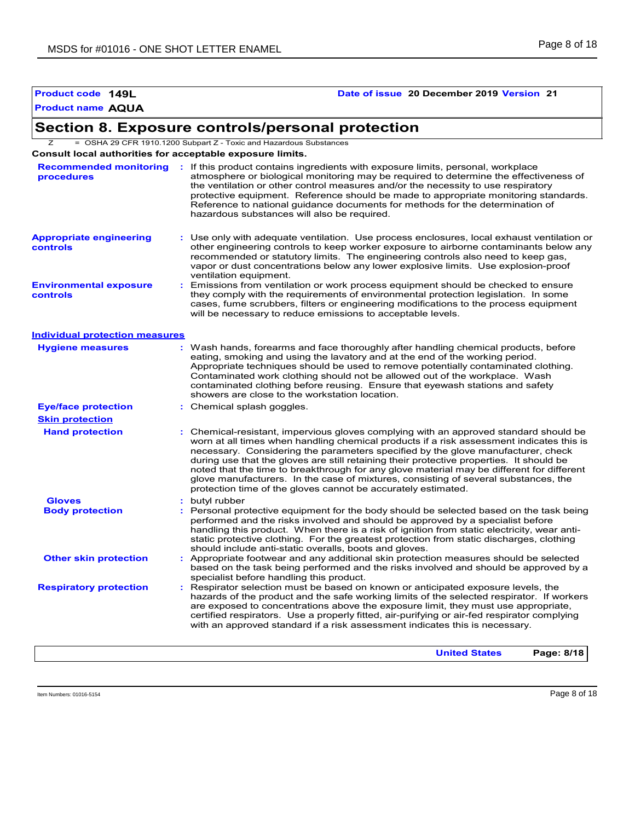# **Product code 149L Date of issue 20 December 2019 Version 21**

# **Section 8. Exposure controls/personal protection**

Z = OSHA 29 CFR 1910.1200 Subpart Z - Toxic and Hazardous Substances

**Consult local authorities for acceptable exposure limits.**

| procedures                                 | Recommended monitoring : If this product contains ingredients with exposure limits, personal, workplace<br>atmosphere or biological monitoring may be required to determine the effectiveness of<br>the ventilation or other control measures and/or the necessity to use respiratory<br>protective equipment. Reference should be made to appropriate monitoring standards.<br>Reference to national quidance documents for methods for the determination of<br>hazardous substances will also be required.                                                                                                           |
|--------------------------------------------|------------------------------------------------------------------------------------------------------------------------------------------------------------------------------------------------------------------------------------------------------------------------------------------------------------------------------------------------------------------------------------------------------------------------------------------------------------------------------------------------------------------------------------------------------------------------------------------------------------------------|
| <b>Appropriate engineering</b><br>controls | : Use only with adequate ventilation. Use process enclosures, local exhaust ventilation or<br>other engineering controls to keep worker exposure to airborne contaminants below any<br>recommended or statutory limits. The engineering controls also need to keep gas,<br>vapor or dust concentrations below any lower explosive limits. Use explosion-proof<br>ventilation equipment.                                                                                                                                                                                                                                |
| <b>Environmental exposure</b><br>controls  | Emissions from ventilation or work process equipment should be checked to ensure<br>they comply with the requirements of environmental protection legislation. In some<br>cases, fume scrubbers, filters or engineering modifications to the process equipment<br>will be necessary to reduce emissions to acceptable levels.                                                                                                                                                                                                                                                                                          |
| <b>Individual protection measures</b>      |                                                                                                                                                                                                                                                                                                                                                                                                                                                                                                                                                                                                                        |
| <b>Hygiene measures</b>                    | : Wash hands, forearms and face thoroughly after handling chemical products, before<br>eating, smoking and using the lavatory and at the end of the working period.<br>Appropriate techniques should be used to remove potentially contaminated clothing.<br>Contaminated work clothing should not be allowed out of the workplace. Wash<br>contaminated clothing before reusing. Ensure that eyewash stations and safety<br>showers are close to the workstation location.                                                                                                                                            |
| <b>Eye/face protection</b>                 | : Chemical splash goggles.                                                                                                                                                                                                                                                                                                                                                                                                                                                                                                                                                                                             |
| <b>Skin protection</b>                     |                                                                                                                                                                                                                                                                                                                                                                                                                                                                                                                                                                                                                        |
| <b>Hand protection</b>                     | : Chemical-resistant, impervious gloves complying with an approved standard should be<br>worn at all times when handling chemical products if a risk assessment indicates this is<br>necessary. Considering the parameters specified by the glove manufacturer, check<br>during use that the gloves are still retaining their protective properties. It should be<br>noted that the time to breakthrough for any glove material may be different for different<br>glove manufacturers. In the case of mixtures, consisting of several substances, the<br>protection time of the gloves cannot be accurately estimated. |
| <b>Gloves</b>                              | : butyl rubber                                                                                                                                                                                                                                                                                                                                                                                                                                                                                                                                                                                                         |
| <b>Body protection</b>                     | : Personal protective equipment for the body should be selected based on the task being<br>performed and the risks involved and should be approved by a specialist before<br>handling this product. When there is a risk of ignition from static electricity, wear anti-<br>static protective clothing. For the greatest protection from static discharges, clothing<br>should include anti-static overalls, boots and gloves.                                                                                                                                                                                         |
| <b>Other skin protection</b>               | Appropriate footwear and any additional skin protection measures should be selected<br>based on the task being performed and the risks involved and should be approved by a<br>specialist before handling this product.                                                                                                                                                                                                                                                                                                                                                                                                |
| <b>Respiratory protection</b>              | : Respirator selection must be based on known or anticipated exposure levels, the<br>hazards of the product and the safe working limits of the selected respirator. If workers<br>are exposed to concentrations above the exposure limit, they must use appropriate,<br>certified respirators. Use a properly fitted, air-purifying or air-fed respirator complying<br>with an approved standard if a risk assessment indicates this is necessary.                                                                                                                                                                     |
|                                            | Page: 8/18<br><b>United States</b>                                                                                                                                                                                                                                                                                                                                                                                                                                                                                                                                                                                     |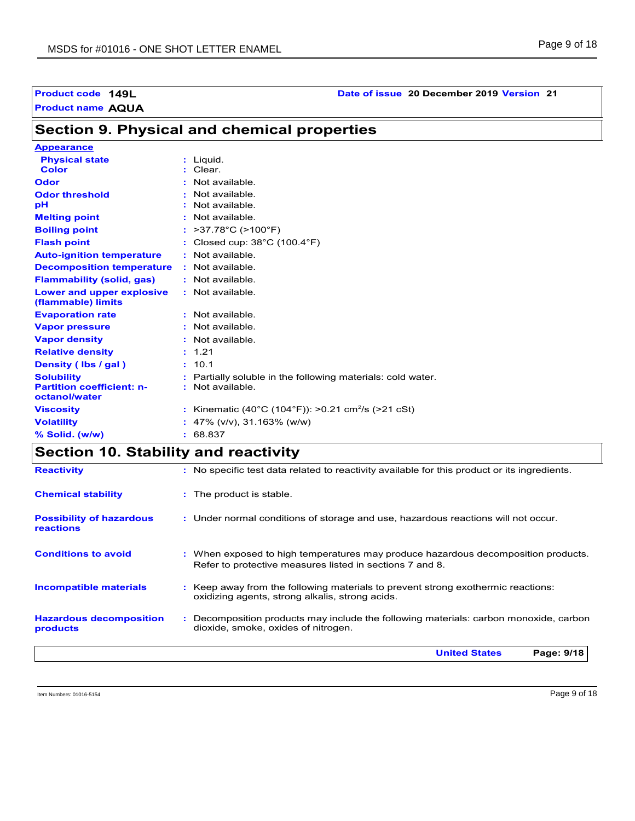# **Section 9. Physical and chemical properties**

| <b>Appearance</b>                                 |                                                              |
|---------------------------------------------------|--------------------------------------------------------------|
| <b>Physical state</b>                             | Liquid.                                                      |
| <b>Color</b>                                      | : Clear.                                                     |
| Odor                                              | Not available.                                               |
| <b>Odor threshold</b>                             | Not available.                                               |
| рH                                                | Not available.                                               |
| <b>Melting point</b>                              | $:$ Not available.                                           |
| <b>Boiling point</b>                              | >37.78°C (>100°F)                                            |
| <b>Flash point</b>                                | : Closed cup: $38^{\circ}$ C (100.4 $^{\circ}$ F)            |
| <b>Auto-ignition temperature</b>                  | $:$ Not available                                            |
| <b>Decomposition temperature</b>                  | : Not available.                                             |
| <b>Flammability (solid, gas)</b>                  | : Not available.                                             |
| Lower and upper explosive<br>(flammable) limits   | : Not available.                                             |
| <b>Evaporation rate</b>                           | Not available.                                               |
| <b>Vapor pressure</b>                             | : Not available.                                             |
| <b>Vapor density</b>                              | Not available.                                               |
| <b>Relative density</b>                           | : 1.21                                                       |
| Density (Ibs / gal)                               | : 10.1                                                       |
| <b>Solubility</b>                                 | Partially soluble in the following materials: cold water.    |
| <b>Partition coefficient: n-</b><br>octanol/water | $:$ Not available.                                           |
| <b>Viscosity</b>                                  | Kinematic (40°C (104°F)): >0.21 cm <sup>2</sup> /s (>21 cSt) |
| <b>Volatility</b>                                 | 47% (v/v), 31.163% (w/w)                                     |
| % Solid. (w/w)                                    | 68.837                                                       |

# **Section 10. Stability and reactivity**

|                                                     | Page: 9/18<br><b>United States</b>                                                                                                            |
|-----------------------------------------------------|-----------------------------------------------------------------------------------------------------------------------------------------------|
| <b>Hazardous decomposition</b><br>products          | : Decomposition products may include the following materials: carbon monoxide, carbon<br>dioxide, smoke, oxides of nitrogen.                  |
| <b>Incompatible materials</b>                       | : Keep away from the following materials to prevent strong exothermic reactions:<br>oxidizing agents, strong alkalis, strong acids.           |
| <b>Conditions to avoid</b>                          | : When exposed to high temperatures may produce hazardous decomposition products.<br>Refer to protective measures listed in sections 7 and 8. |
| <b>Possibility of hazardous</b><br><b>reactions</b> | : Under normal conditions of storage and use, hazardous reactions will not occur.                                                             |
| <b>Chemical stability</b>                           | : The product is stable.                                                                                                                      |
| <b>Reactivity</b>                                   | : No specific test data related to reactivity available for this product or its ingredients.                                                  |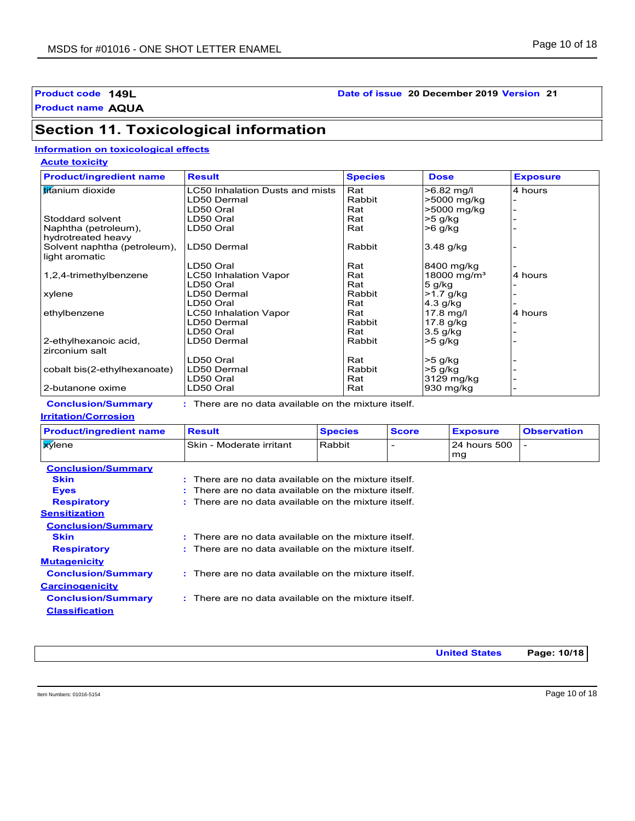### **Product code 149L Date of issue 20 December 2019 Version 21**

**Product name AQUA**

# **Section 11. Toxicological information**

### **Information on toxicological effects**

**Acute toxicity**

| <b>Product/ingredient name</b> | <b>Result</b>                   | <b>Species</b> | <b>Dose</b>             | <b>Exposure</b> |
|--------------------------------|---------------------------------|----------------|-------------------------|-----------------|
| <b>titanium</b> dioxide        | LC50 Inhalation Dusts and mists | Rat            | $>6.82$ mg/l            | 4 hours         |
|                                | LD50 Dermal                     | Rabbit         | >5000 mg/kg             |                 |
|                                | LD50 Oral                       | Rat            | >5000 mg/kg             |                 |
| Stoddard solvent               | LD50 Oral                       | Rat            | $>5$ q/kg               |                 |
| Naphtha (petroleum),           | LD50 Oral                       | Rat            | >6 g/kg                 |                 |
| hydrotreated heavy             |                                 |                |                         |                 |
| Solvent naphtha (petroleum),   | LD50 Dermal                     | Rabbit         | 3.48 g/kg               |                 |
| light aromatic                 |                                 |                |                         |                 |
|                                | LD50 Oral                       | Rat            | 8400 mg/kg              |                 |
| 1,2,4-trimethylbenzene         | LC50 Inhalation Vapor           | Rat            | 18000 mg/m <sup>3</sup> | 4 hours         |
|                                | LD50 Oral                       | Rat            | $5$ g/kg                |                 |
| xylene                         | LD50 Dermal                     | Rabbit         | -1.7 g/kg               |                 |
|                                | LD50 Oral                       | Rat            | $4.3$ g/kg              |                 |
| ethylbenzene                   | <b>LC50 Inhalation Vapor</b>    | Rat            | $17.8$ mg/l             | 4 hours         |
|                                | LD50 Dermal                     | Rabbit         | 17.8 g/kg               |                 |
|                                | LD50 Oral                       | Rat            | $3.5$ g/kg              |                 |
| 2-ethylhexanoic acid,          | LD50 Dermal                     | Rabbit         | $>5$ g/kg               |                 |
| zirconium salt                 |                                 |                |                         |                 |
|                                | LD50 Oral                       | Rat            | $>5$ g/kg               |                 |
| cobalt bis(2-ethylhexanoate)   | LD50 Dermal                     | Rabbit         | $>5$ g/kg               |                 |
|                                | LD50 Oral                       | Rat            | 3129 mg/kg              |                 |
| 2-butanone oxime               | LD50 Oral                       | Rat            | 930 mg/kg               |                 |

**Conclusion/Summary :** There are no data available on the mixture itself.

#### **Irritation/Corrosion**

| <b>Product/ingredient name</b>                                          | <b>Result</b>                                            | <b>Species</b> | <b>Score</b> | <b>Exposure</b> | <b>Observation</b> |
|-------------------------------------------------------------------------|----------------------------------------------------------|----------------|--------------|-----------------|--------------------|
| <b>X</b> ylene                                                          | Skin - Moderate irritant                                 | Rabbit         |              | 24 hours 500    |                    |
|                                                                         |                                                          |                |              | l mg            |                    |
| <b>Conclusion/Summary</b>                                               |                                                          |                |              |                 |                    |
| $\pm$ There are no data available on the mixture itself.<br><b>Skin</b> |                                                          |                |              |                 |                    |
| <b>Eyes</b>                                                             | $\pm$ There are no data available on the mixture itself. |                |              |                 |                    |
| <b>Respiratory</b>                                                      | : There are no data available on the mixture itself.     |                |              |                 |                    |

| $\pm$ There are no data available on the mixture itself. |  |
|----------------------------------------------------------|--|
|----------------------------------------------------------|--|

- **Skin Example 20 EXEC 2018 :** There are no data available on the mixture itself.
	- There are no data available on the mixture itself.
		- : There are no data available on the mixture itself.
			- There are no data available on the mixture itself.

**United States Page: 10/18**

**Carcinogenicity**

**Classification**

**Respiratory :**

**Mutagenicity**

**Sensitization**

**Conclusion/Summary :**

**Conclusion/Summary :**

**Conclusion/Summary**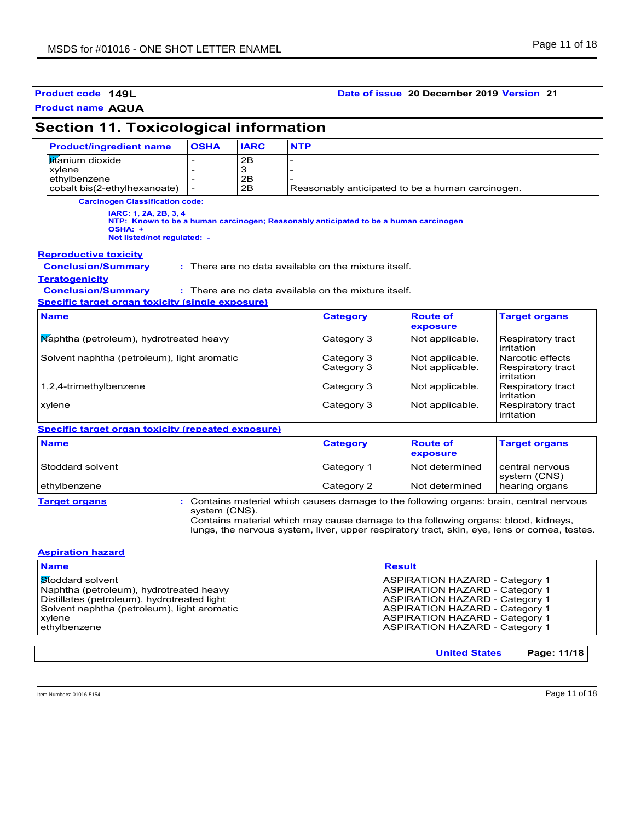| Product code 149L                                                                                                                                                          |               |                     |            |                                                                                                              | Date of issue 20 December 2019 Version 21                                                                                                                                                                                                                                     |                                                                          |
|----------------------------------------------------------------------------------------------------------------------------------------------------------------------------|---------------|---------------------|------------|--------------------------------------------------------------------------------------------------------------|-------------------------------------------------------------------------------------------------------------------------------------------------------------------------------------------------------------------------------------------------------------------------------|--------------------------------------------------------------------------|
| <b>Product name AQUA</b>                                                                                                                                                   |               |                     |            |                                                                                                              |                                                                                                                                                                                                                                                                               |                                                                          |
| <b>Section 11. Toxicological information</b>                                                                                                                               |               |                     |            |                                                                                                              |                                                                                                                                                                                                                                                                               |                                                                          |
| <b>Product/ingredient name</b>                                                                                                                                             | <b>OSHA</b>   | <b>IARC</b>         | <b>NTP</b> |                                                                                                              |                                                                                                                                                                                                                                                                               |                                                                          |
| <b>titanium</b> dioxide<br>xylene<br>ethylbenzene<br>cobalt bis(2-ethylhexanoate)                                                                                          |               | 2B<br>3<br>2B<br>2B |            |                                                                                                              | Reasonably anticipated to be a human carcinogen.                                                                                                                                                                                                                              |                                                                          |
| <b>Carcinogen Classification code:</b><br>IARC: 1, 2A, 2B, 3, 4<br>OSHA: +<br>Not listed/not regulated: -                                                                  |               |                     |            |                                                                                                              | NTP: Known to be a human carcinogen; Reasonably anticipated to be a human carcinogen                                                                                                                                                                                          |                                                                          |
| <b>Reproductive toxicity</b><br><b>Conclusion/Summary</b><br><b>Teratogenicity</b><br><b>Conclusion/Summary</b><br><b>Specific target organ toxicity (single exposure)</b> |               |                     |            | : There are no data available on the mixture itself.<br>: There are no data available on the mixture itself. |                                                                                                                                                                                                                                                                               |                                                                          |
| <b>Name</b>                                                                                                                                                                |               |                     |            | <b>Category</b>                                                                                              | <b>Route of</b><br>exposure                                                                                                                                                                                                                                                   | <b>Target organs</b>                                                     |
| Maphtha (petroleum), hydrotreated heavy<br>Solvent naphtha (petroleum), light aromatic                                                                                     |               |                     |            | Category 3<br>Category 3<br>Category 3                                                                       | Not applicable.<br>Not applicable.<br>Not applicable.                                                                                                                                                                                                                         | Respiratory tract<br>irritation<br>Narcotic effects<br>Respiratory tract |
| 1,2,4-trimethylbenzene                                                                                                                                                     |               |                     | Category 3 | Not applicable.                                                                                              | irritation<br>Respiratory tract<br>irritation                                                                                                                                                                                                                                 |                                                                          |
| xylene                                                                                                                                                                     |               |                     |            | Category 3                                                                                                   | Not applicable.                                                                                                                                                                                                                                                               | Respiratory tract<br>irritation                                          |
| <b>Specific target organ toxicity (repeated exposure)</b>                                                                                                                  |               |                     |            |                                                                                                              |                                                                                                                                                                                                                                                                               |                                                                          |
| <b>Name</b>                                                                                                                                                                |               |                     |            | <b>Category</b>                                                                                              | <b>Route of</b><br>exposure                                                                                                                                                                                                                                                   | <b>Target organs</b>                                                     |
| Stoddard solvent                                                                                                                                                           |               |                     |            | Category 1                                                                                                   | Not determined                                                                                                                                                                                                                                                                | central nervous<br>system (CNS)                                          |
| ethylbenzene                                                                                                                                                               |               |                     |            | Category 2                                                                                                   | Not determined                                                                                                                                                                                                                                                                | hearing organs                                                           |
| <b>Target organs</b>                                                                                                                                                       | system (CNS). |                     |            |                                                                                                              | : Contains material which causes damage to the following organs: brain, central nervous<br>Contains material which may cause damage to the following organs: blood, kidneys,<br>lungs, the nervous system, liver, upper respiratory tract, skin, eye, lens or cornea, testes. |                                                                          |
| <b>Aspiration hazard</b>                                                                                                                                                   |               |                     |            |                                                                                                              |                                                                                                                                                                                                                                                                               |                                                                          |
| <b>Name</b>                                                                                                                                                                |               |                     |            |                                                                                                              | <b>Result</b>                                                                                                                                                                                                                                                                 |                                                                          |
| Stoddard solvent<br>Naphtha (petroleum), hydrotreated heavy                                                                                                                |               |                     |            |                                                                                                              | <b>ASPIRATION HAZARD - Category 1</b><br><b>ASPIRATION HAZARD - Category 1</b>                                                                                                                                                                                                |                                                                          |

Naphtha (petroleum), hydrotreated heavy ASPIRATION HAZARD - Category 1<br>Distillates (petroleum), hydrotreated light ASPIRATION HAZARD - Category 1

Xalvent naphtha (petroleum), light aromatic and the state of the Maximum of ASPIRATION HAZARD - Category 1<br>ASPIRATION HAZARD - Category 1<br>ASPIRATION HAZARD - Category 1

Distillates (petroleum), hydrotreated light ASPIRATION HAZARD - Category 1 Solvent naphtha (petroleum), light aromatic **ASPIRATION HAZARD** - Category 1

| Item Numbers: 01016-5154 | Page 1 |
|--------------------------|--------|
|                          | . .    |

ASPIRATION HAZARD - Category 1

**United States Page: 11/18**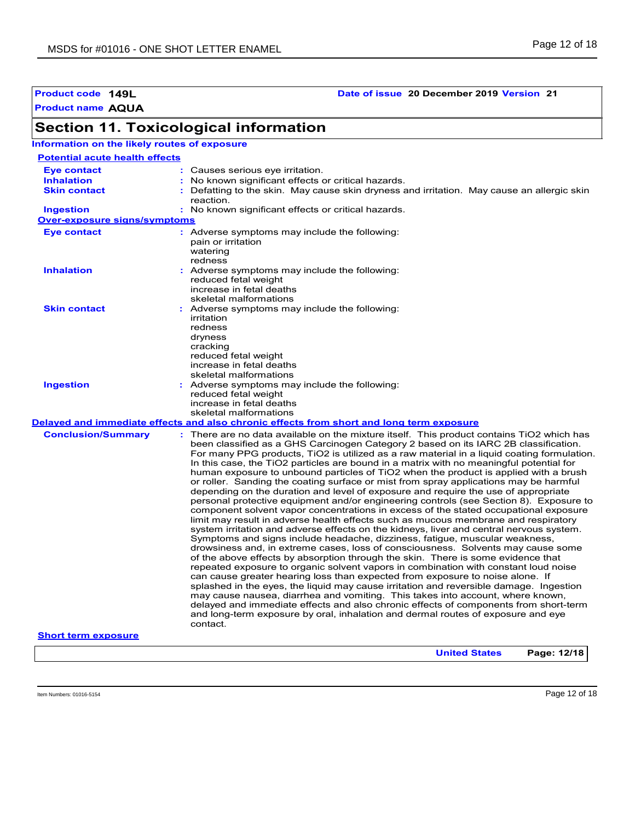**Product code 149L Date of issue 20 December 2019 Version 21**

# **Section 11. Toxicological information**

**Information on the likely routes of exposure**

| <b>Potential acute health effects</b> |                                                                                                                                                                                                                                                                                                                                                                                                                                                                                                                                                                                                                                                                                                                                                                                                                                                                                                                                                                                                                                                                                                                                                                                                                                                                                                                                                                                                                                                                                                                                                                                                                                                                                                                                                                                                                      |
|---------------------------------------|----------------------------------------------------------------------------------------------------------------------------------------------------------------------------------------------------------------------------------------------------------------------------------------------------------------------------------------------------------------------------------------------------------------------------------------------------------------------------------------------------------------------------------------------------------------------------------------------------------------------------------------------------------------------------------------------------------------------------------------------------------------------------------------------------------------------------------------------------------------------------------------------------------------------------------------------------------------------------------------------------------------------------------------------------------------------------------------------------------------------------------------------------------------------------------------------------------------------------------------------------------------------------------------------------------------------------------------------------------------------------------------------------------------------------------------------------------------------------------------------------------------------------------------------------------------------------------------------------------------------------------------------------------------------------------------------------------------------------------------------------------------------------------------------------------------------|
| <b>Eye contact</b>                    | : Causes serious eye irritation.                                                                                                                                                                                                                                                                                                                                                                                                                                                                                                                                                                                                                                                                                                                                                                                                                                                                                                                                                                                                                                                                                                                                                                                                                                                                                                                                                                                                                                                                                                                                                                                                                                                                                                                                                                                     |
| <b>Inhalation</b>                     | : No known significant effects or critical hazards.                                                                                                                                                                                                                                                                                                                                                                                                                                                                                                                                                                                                                                                                                                                                                                                                                                                                                                                                                                                                                                                                                                                                                                                                                                                                                                                                                                                                                                                                                                                                                                                                                                                                                                                                                                  |
| <b>Skin contact</b>                   | : Defatting to the skin. May cause skin dryness and irritation. May cause an allergic skin<br>reaction.                                                                                                                                                                                                                                                                                                                                                                                                                                                                                                                                                                                                                                                                                                                                                                                                                                                                                                                                                                                                                                                                                                                                                                                                                                                                                                                                                                                                                                                                                                                                                                                                                                                                                                              |
| <b>Ingestion</b>                      | : No known significant effects or critical hazards.                                                                                                                                                                                                                                                                                                                                                                                                                                                                                                                                                                                                                                                                                                                                                                                                                                                                                                                                                                                                                                                                                                                                                                                                                                                                                                                                                                                                                                                                                                                                                                                                                                                                                                                                                                  |
| <b>Over-exposure signs/symptoms</b>   |                                                                                                                                                                                                                                                                                                                                                                                                                                                                                                                                                                                                                                                                                                                                                                                                                                                                                                                                                                                                                                                                                                                                                                                                                                                                                                                                                                                                                                                                                                                                                                                                                                                                                                                                                                                                                      |
| <b>Eye contact</b>                    | : Adverse symptoms may include the following:<br>pain or irritation<br>watering<br>redness                                                                                                                                                                                                                                                                                                                                                                                                                                                                                                                                                                                                                                                                                                                                                                                                                                                                                                                                                                                                                                                                                                                                                                                                                                                                                                                                                                                                                                                                                                                                                                                                                                                                                                                           |
| <b>Inhalation</b>                     | : Adverse symptoms may include the following:<br>reduced fetal weight<br>increase in fetal deaths<br>skeletal malformations                                                                                                                                                                                                                                                                                                                                                                                                                                                                                                                                                                                                                                                                                                                                                                                                                                                                                                                                                                                                                                                                                                                                                                                                                                                                                                                                                                                                                                                                                                                                                                                                                                                                                          |
| <b>Skin contact</b>                   | : Adverse symptoms may include the following:<br>irritation<br>redness<br>dryness<br>cracking<br>reduced fetal weight<br>increase in fetal deaths<br>skeletal malformations                                                                                                                                                                                                                                                                                                                                                                                                                                                                                                                                                                                                                                                                                                                                                                                                                                                                                                                                                                                                                                                                                                                                                                                                                                                                                                                                                                                                                                                                                                                                                                                                                                          |
| <b>Ingestion</b>                      | : Adverse symptoms may include the following:<br>reduced fetal weight<br>increase in fetal deaths<br>skeletal malformations                                                                                                                                                                                                                                                                                                                                                                                                                                                                                                                                                                                                                                                                                                                                                                                                                                                                                                                                                                                                                                                                                                                                                                                                                                                                                                                                                                                                                                                                                                                                                                                                                                                                                          |
|                                       | Delayed and immediate effects and also chronic effects from short and long term exposure                                                                                                                                                                                                                                                                                                                                                                                                                                                                                                                                                                                                                                                                                                                                                                                                                                                                                                                                                                                                                                                                                                                                                                                                                                                                                                                                                                                                                                                                                                                                                                                                                                                                                                                             |
| <b>Conclusion/Summary</b>             | There are no data available on the mixture itself. This product contains TiO2 which has<br>been classified as a GHS Carcinogen Category 2 based on its IARC 2B classification.<br>For many PPG products, TiO2 is utilized as a raw material in a liquid coating formulation.<br>In this case, the TiO2 particles are bound in a matrix with no meaningful potential for<br>human exposure to unbound particles of TiO2 when the product is applied with a brush<br>or roller. Sanding the coating surface or mist from spray applications may be harmful<br>depending on the duration and level of exposure and require the use of appropriate<br>personal protective equipment and/or engineering controls (see Section 8). Exposure to<br>component solvent vapor concentrations in excess of the stated occupational exposure<br>limit may result in adverse health effects such as mucous membrane and respiratory<br>system irritation and adverse effects on the kidneys, liver and central nervous system.<br>Symptoms and signs include headache, dizziness, fatigue, muscular weakness,<br>drowsiness and, in extreme cases, loss of consciousness. Solvents may cause some<br>of the above effects by absorption through the skin. There is some evidence that<br>repeated exposure to organic solvent vapors in combination with constant loud noise<br>can cause greater hearing loss than expected from exposure to noise alone. If<br>splashed in the eyes, the liquid may cause irritation and reversible damage. Ingestion<br>may cause nausea, diarrhea and vomiting. This takes into account, where known,<br>delayed and immediate effects and also chronic effects of components from short-term<br>and long-term exposure by oral, inhalation and dermal routes of exposure and eye<br>contact. |
| <b>Short term exposure</b>            |                                                                                                                                                                                                                                                                                                                                                                                                                                                                                                                                                                                                                                                                                                                                                                                                                                                                                                                                                                                                                                                                                                                                                                                                                                                                                                                                                                                                                                                                                                                                                                                                                                                                                                                                                                                                                      |

**United States Page: 12/18**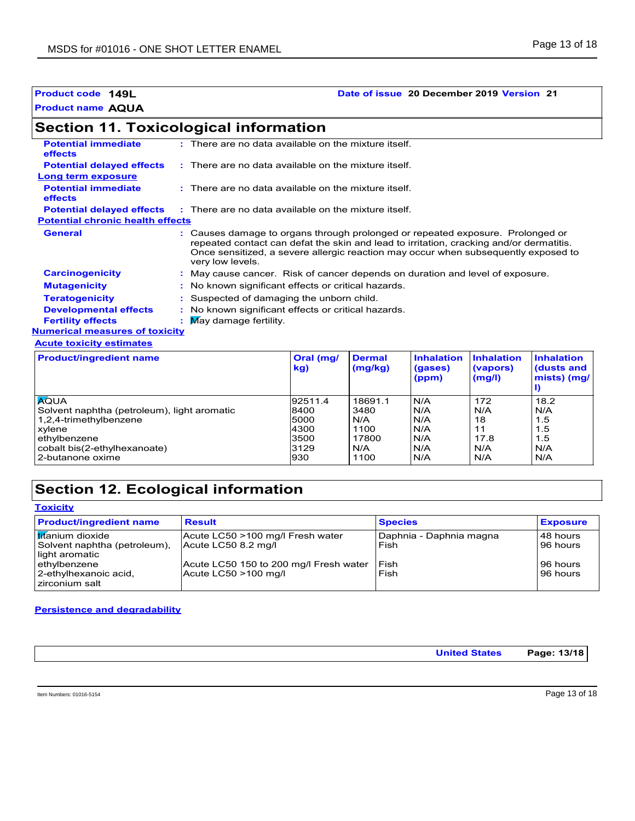## **Product code 149L Date of issue 20 December 2019 Version 21**

# **Section 11. Toxicological information**

| <b>Potential immediate</b><br><b>effects</b> | $:$ There are no data available on the mixture itself.                                                                                                                                                                                                                              |
|----------------------------------------------|-------------------------------------------------------------------------------------------------------------------------------------------------------------------------------------------------------------------------------------------------------------------------------------|
| <b>Potential delayed effects</b>             | $\therefore$ There are no data available on the mixture itself.                                                                                                                                                                                                                     |
| <b>Long term exposure</b>                    |                                                                                                                                                                                                                                                                                     |
| <b>Potential immediate</b><br><b>effects</b> | $:$ There are no data available on the mixture itself.                                                                                                                                                                                                                              |
| <b>Potential delayed effects</b>             | : There are no data available on the mixture itself.                                                                                                                                                                                                                                |
| <b>Potential chronic health effects</b>      |                                                                                                                                                                                                                                                                                     |
| <b>General</b>                               | : Causes damage to organs through prolonged or repeated exposure. Prolonged or<br>repeated contact can defat the skin and lead to irritation, cracking and/or dermatitis.<br>Once sensitized, a severe allergic reaction may occur when subsequently exposed to<br>very low levels. |
| <b>Carcinogenicity</b>                       | : May cause cancer. Risk of cancer depends on duration and level of exposure.                                                                                                                                                                                                       |
| <b>Mutagenicity</b>                          | No known significant effects or critical hazards.                                                                                                                                                                                                                                   |
| <b>Teratogenicity</b>                        | Suspected of damaging the unborn child.                                                                                                                                                                                                                                             |
| <b>Developmental effects</b>                 | No known significant effects or critical hazards.                                                                                                                                                                                                                                   |
| <b>Fertility effects</b>                     | May damage fertility.                                                                                                                                                                                                                                                               |
| <b>Numerical measures of toxicity</b>        |                                                                                                                                                                                                                                                                                     |
| <b>Acute toxicity estimates</b>              |                                                                                                                                                                                                                                                                                     |

| <b>Product/ingredient name</b>              | Oral (mg/<br>kg) | <b>Dermal</b><br>(mg/kg) | <b>Inhalation</b><br>(gases)<br>(ppm) | <b>Inhalation</b><br>(vapors)<br>(mg/l) | <b>Inhalation</b><br>(dusts and<br>mists) (mg/ |
|---------------------------------------------|------------------|--------------------------|---------------------------------------|-----------------------------------------|------------------------------------------------|
| <b>AQUA</b>                                 | 92511.4          | 18691.1                  | N/A                                   | 172                                     | 18.2                                           |
| Solvent naphtha (petroleum), light aromatic | 8400             | 3480                     | N/A                                   | N/A                                     | N/A                                            |
| 1,2,4-trimethylbenzene                      | 5000             | N/A                      | N/A                                   | 18                                      | 1.5                                            |
| xylene                                      | 4300             | 1100                     | N/A                                   | 11                                      | 1.5                                            |
| ethylbenzene                                | 3500             | 17800                    | N/A                                   | 17.8                                    | 1.5                                            |
| cobalt bis(2-ethylhexanoate)                | 3129             | N/A                      | N/A                                   | N/A                                     | N/A                                            |
| 2-butanone oxime                            | 930              | 1100                     | N/A                                   | N/A                                     | N/A                                            |

# **Section 12. Ecological information**

| <b>Toxicity</b>                                                                    |                                                                |                                 |                          |
|------------------------------------------------------------------------------------|----------------------------------------------------------------|---------------------------------|--------------------------|
| <b>Product/ingredient name</b>                                                     | <b>Result</b>                                                  | <b>Species</b>                  | <b>Exposure</b>          |
| I <mark>tit</mark> anium dioxide<br>Solvent naphtha (petroleum),<br>light aromatic | Acute LC50 >100 mg/l Fresh water<br>Acute LC50 8.2 mg/l        | Daphnia - Daphnia magna<br>Fish | l 48 hours<br>l 96 hours |
| ethylbenzene<br>2-ethylhexanoic acid,<br>zirconium salt                            | Acute LC50 150 to 200 mg/l Fresh water<br>Acute LC50 >100 mg/l | l Fish<br>Fish                  | l 96 hours<br>96 hours   |

### **Persistence and degradability**

|  |  | <b>United States</b><br>. | Page: 13/18 |
|--|--|---------------------------|-------------|
|--|--|---------------------------|-------------|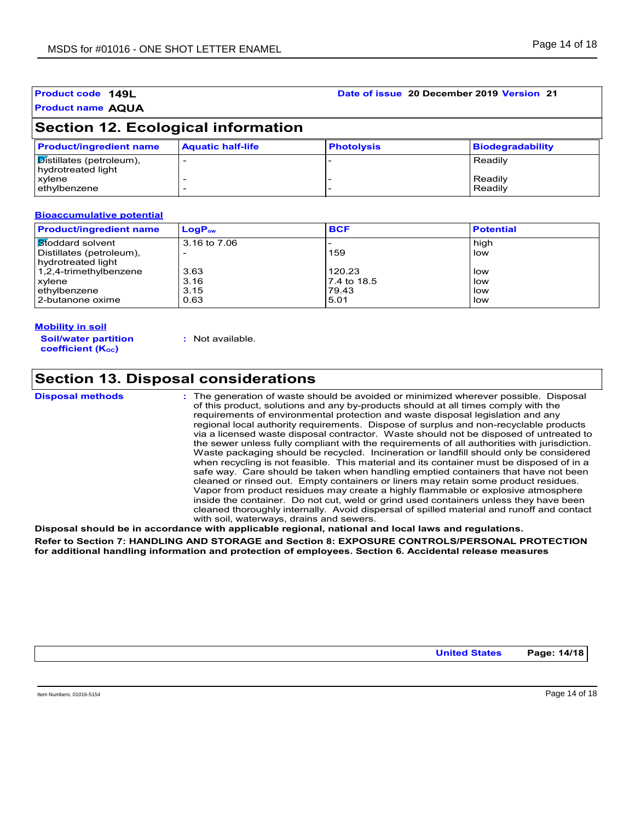### **Product name AQUA Product code 149L Date of issue 20 December 2019 Version 21**

# **Section 12. Ecological information**

| <b>Product/ingredient name</b>                                 | <b>Aquatic half-life</b> | <b>Photolysis</b> | Biodegradability   |
|----------------------------------------------------------------|--------------------------|-------------------|--------------------|
| $\sqrt{\text{Distillates}}$ (petroleum),<br>hydrotreated light |                          |                   | Readily            |
| xylene<br>ethylbenzene                                         |                          |                   | Readily<br>Readily |

### **Bioaccumulative potential**

| <b>Product/ingredient name</b>   | $\mathsf{LogP}_\mathsf{ow}$ | <b>BCF</b>  | <b>Potential</b> |
|----------------------------------|-----------------------------|-------------|------------------|
| ∣ <mark>St</mark> oddard solvent | 3.16 to 7.06                |             | high             |
| Distillates (petroleum),         |                             | 159         | low              |
| hydrotreated light               |                             |             |                  |
| 1,2,4-trimethylbenzene           | 3.63                        | 120.23      | low              |
| xylene                           | 3.16                        | 7.4 to 18.5 | low              |
| ethylbenzene                     | 3.15                        | 79.43       | low              |
| 2-butanone oxime                 | 0.63                        | 5.01        | low              |

#### **Mobility in soil**

**Soil/water partition coefficient (KOC)**

**:** Not available.

## **Section 13. Disposal considerations**

```
Disposal methods :
```
The generation of waste should be avoided or minimized wherever possible. Disposal of this product, solutions and any by-products should at all times comply with the requirements of environmental protection and waste disposal legislation and any regional local authority requirements. Dispose of surplus and non-recyclable products via a licensed waste disposal contractor. Waste should not be disposed of untreated to the sewer unless fully compliant with the requirements of all authorities with jurisdiction. Waste packaging should be recycled. Incineration or landfill should only be considered when recycling is not feasible. This material and its container must be disposed of in a safe way. Care should be taken when handling emptied containers that have not been cleaned or rinsed out. Empty containers or liners may retain some product residues. Vapor from product residues may create a highly flammable or explosive atmosphere inside the container. Do not cut, weld or grind used containers unless they have been cleaned thoroughly internally. Avoid dispersal of spilled material and runoff and contact with soil, waterways, drains and sewers.

**Disposal should be in accordance with applicable regional, national and local laws and regulations. Refer to Section 7: HANDLING AND STORAGE and Section 8: EXPOSURE CONTROLS/PERSONAL PROTECTION for additional handling information and protection of employees. Section 6. Accidental release measures**

**United States Page: 14/18**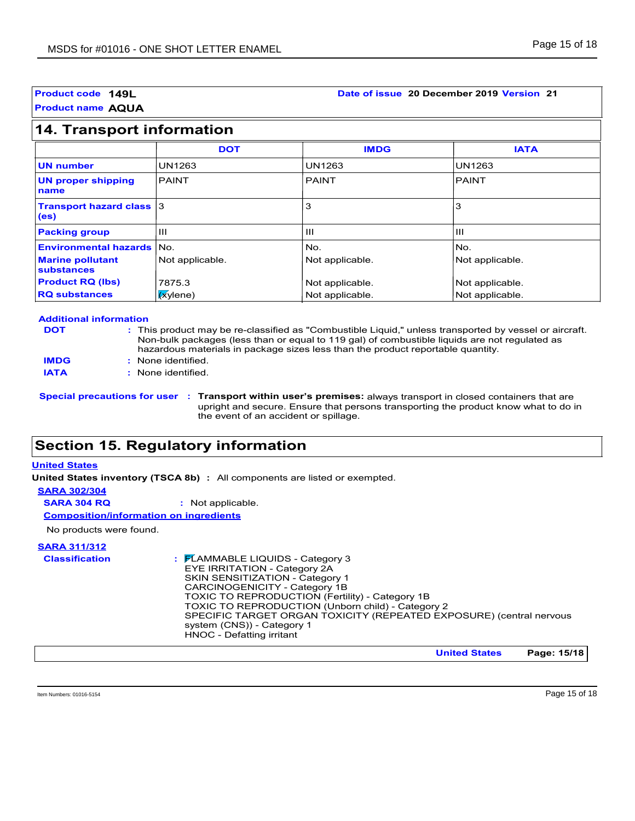### **Product code 149L Date of issue 20 December 2019 Version 21**

# **14. Transport information**

|                                                      | <b>DOT</b>      | <b>IMDG</b>     | <b>IATA</b>     |
|------------------------------------------------------|-----------------|-----------------|-----------------|
| <b>UN number</b>                                     | <b>UN1263</b>   | <b>UN1263</b>   | <b>UN1263</b>   |
| <b>UN proper shipping</b><br>name                    | <b>PAINT</b>    | <b>PAINT</b>    | <b>PAINT</b>    |
| <b>Transport hazard class 3</b><br>(e <sub>s</sub> ) |                 | 3               | 3               |
| <b>Packing group</b>                                 | Ш               | Ш               | $\mathbf{H}$    |
| <b>Environmental hazards   No.</b>                   |                 | No.             | No.             |
| <b>Marine pollutant</b><br>substances                | Not applicable. | Not applicable. | Not applicable. |
| <b>Product RQ (lbs)</b>                              | 7875.3          | Not applicable. | Not applicable. |
| <b>RQ substances</b>                                 | $x$ ylene)      | Not applicable. | Not applicable. |

#### **Additional information**

| <b>DOT</b> |  |  |
|------------|--|--|
|            |  |  |

- This product may be re-classified as "Combustible Liquid," unless transported by vessel or aircraft. **:** Non-bulk packages (less than or equal to 119 gal) of combustible liquids are not regulated as hazardous materials in package sizes less than the product reportable quantity.
- None identified. **: IMDG**

**IATA :** None identified.

**Special precautions for user Transport within user's premises:** always transport in closed containers that are **:** upright and secure. Ensure that persons transporting the product know what to do in the event of an accident or spillage.

# **Section 15. Regulatory information**

### **United States**

**United States inventory (TSCA 8b) :** All components are listed or exempted.

### **SARA 302/304**

**SARA 304 RQ :** Not applicable.

**Composition/information on ingredients**

No products were found.

# **SARA 311/312**

| SPECIFIC TARGET ORGAN TOXICITY (REPEATED EXPOSURE) (central nervous<br>system (CNS)) - Category 1<br>HNOC - Defatting irritant | <b>Classification</b> | $\frac{1}{2}$ $\mathsf{F}$ LAMMABLE LIQUIDS - Category 3<br>EYE IRRITATION - Category 2A<br>SKIN SENSITIZATION - Category 1<br>CARCINOGENICITY - Category 1B<br>TOXIC TO REPRODUCTION (Fertility) - Category 1B<br>TOXIC TO REPRODUCTION (Unborn child) - Category 2 |
|--------------------------------------------------------------------------------------------------------------------------------|-----------------------|----------------------------------------------------------------------------------------------------------------------------------------------------------------------------------------------------------------------------------------------------------------------|
|--------------------------------------------------------------------------------------------------------------------------------|-----------------------|----------------------------------------------------------------------------------------------------------------------------------------------------------------------------------------------------------------------------------------------------------------------|

**United States Page: 15/18**

Item Numbers: 01016-5154 Page 15 of 18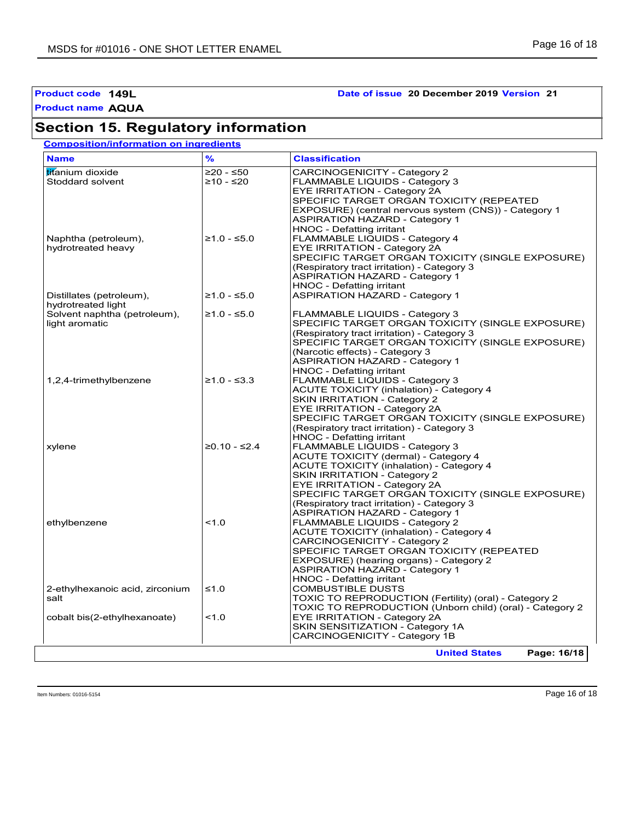# **Section 15. Regulatory information**

## **Composition/information on ingredients**

| <b>Name</b>                     | $\frac{9}{6}$  | <b>Classification</b>                                    |
|---------------------------------|----------------|----------------------------------------------------------|
| titanium dioxide                | $≥20 - ≤50$    | CARCINOGENICITY - Category 2                             |
| Stoddard solvent                | $≥10 - ≤20$    | FLAMMABLE LIQUIDS - Category 3                           |
|                                 |                | EYE IRRITATION - Category 2A                             |
|                                 |                | SPECIFIC TARGET ORGAN TOXICITY (REPEATED                 |
|                                 |                | EXPOSURE) (central nervous system (CNS)) - Category 1    |
|                                 |                | <b>ASPIRATION HAZARD - Category 1</b>                    |
|                                 |                | HNOC - Defatting irritant                                |
| Naphtha (petroleum),            | $≥1.0 - ≤5.0$  | FLAMMABLE LIQUIDS - Category 4                           |
| hydrotreated heavy              |                | EYE IRRITATION - Category 2A                             |
|                                 |                | SPECIFIC TARGET ORGAN TOXICITY (SINGLE EXPOSURE)         |
|                                 |                | (Respiratory tract irritation) - Category 3              |
|                                 |                | <b>ASPIRATION HAZARD - Category 1</b>                    |
|                                 |                | HNOC - Defatting irritant                                |
| Distillates (petroleum),        | $≥1.0 - ≤5.0$  | <b>ASPIRATION HAZARD - Category 1</b>                    |
| hydrotreated light              |                |                                                          |
| Solvent naphtha (petroleum),    | $≥1.0 - ≤5.0$  | <b>FLAMMABLE LIQUIDS - Category 3</b>                    |
| light aromatic                  |                | SPECIFIC TARGET ORGAN TOXICITY (SINGLE EXPOSURE)         |
|                                 |                | (Respiratory tract irritation) - Category 3              |
|                                 |                | SPECIFIC TARGET ORGAN TOXICITY (SINGLE EXPOSURE)         |
|                                 |                | (Narcotic effects) - Category 3                          |
|                                 |                | <b>ASPIRATION HAZARD - Category 1</b>                    |
|                                 |                | HNOC - Defatting irritant                                |
|                                 | $≥1.0 - ≤3.3$  |                                                          |
| 1,2,4-trimethylbenzene          |                | FLAMMABLE LIQUIDS - Category 3                           |
|                                 |                | <b>ACUTE TOXICITY (inhalation) - Category 4</b>          |
|                                 |                | <b>SKIN IRRITATION - Category 2</b>                      |
|                                 |                | EYE IRRITATION - Category 2A                             |
|                                 |                | SPECIFIC TARGET ORGAN TOXICITY (SINGLE EXPOSURE)         |
|                                 |                | (Respiratory tract irritation) - Category 3              |
|                                 |                | HNOC - Defatting irritant                                |
| xylene                          | $≥0.10 - ≤2.4$ | <b>FLAMMABLE LIQUIDS - Category 3</b>                    |
|                                 |                | ACUTE TOXICITY (dermal) - Category 4                     |
|                                 |                | <b>ACUTE TOXICITY (inhalation) - Category 4</b>          |
|                                 |                | <b>SKIN IRRITATION - Category 2</b>                      |
|                                 |                | EYE IRRITATION - Category 2A                             |
|                                 |                | SPECIFIC TARGET ORGAN TOXICITY (SINGLE EXPOSURE)         |
|                                 |                | (Respiratory tract irritation) - Category 3              |
|                                 |                | <b>ASPIRATION HAZARD - Category 1</b>                    |
| ethylbenzene                    | 1.0            | <b>FLAMMABLE LIQUIDS - Category 2</b>                    |
|                                 |                | <b>ACUTE TOXICITY (inhalation) - Category 4</b>          |
|                                 |                | CARCINOGENICITY - Category 2                             |
|                                 |                | SPECIFIC TARGET ORGAN TOXICITY (REPEATED                 |
|                                 |                | EXPOSURE) (hearing organs) - Category 2                  |
|                                 |                | <b>ASPIRATION HAZARD - Category 1</b>                    |
|                                 |                | HNOC - Defatting irritant                                |
| 2-ethylhexanoic acid, zirconium | ≤1.0           | <b>COMBUSTIBLE DUSTS</b>                                 |
| salt                            |                | TOXIC TO REPRODUCTION (Fertility) (oral) - Category 2    |
|                                 |                | TOXIC TO REPRODUCTION (Unborn child) (oral) - Category 2 |
| cobalt bis(2-ethylhexanoate)    | 1.0            | <b>EYE IRRITATION - Category 2A</b>                      |
|                                 |                | SKIN SENSITIZATION - Category 1A                         |
|                                 |                | CARCINOGENICITY - Category 1B                            |
|                                 |                |                                                          |

Item Numbers: 01016-5154 Page 16 of 18

## **Product code 149L Date of issue 20 December 2019 Version 21**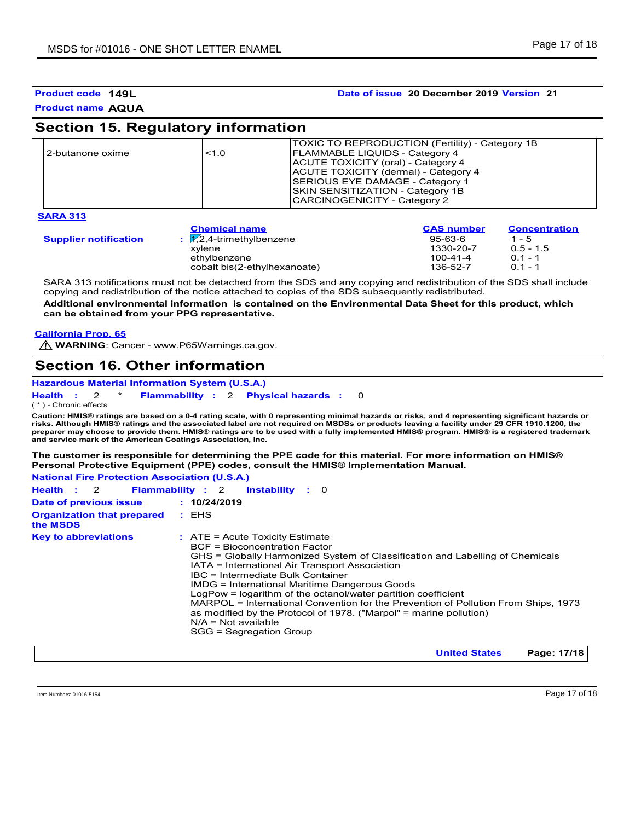| <b>Product name AQUA</b><br><b>Section 15. Regulatory information</b><br>TOXIC TO REPRODUCTION (Fertility) - Category 1B<br>2-butanone oxime<br>< 1.0<br><b>FLAMMABLE LIQUIDS - Category 4</b><br><b>ACUTE TOXICITY (oral) - Category 4</b><br>ACUTE TOXICITY (dermal) - Category 4<br><b>SERIOUS EYE DAMAGE - Category 1</b><br>SKIN SENSITIZATION - Category 1B<br>CARCINOGENICITY - Category 2 |                   | Date of issue 20 December 2019 Version 21 |
|---------------------------------------------------------------------------------------------------------------------------------------------------------------------------------------------------------------------------------------------------------------------------------------------------------------------------------------------------------------------------------------------------|-------------------|-------------------------------------------|
|                                                                                                                                                                                                                                                                                                                                                                                                   |                   |                                           |
|                                                                                                                                                                                                                                                                                                                                                                                                   |                   |                                           |
|                                                                                                                                                                                                                                                                                                                                                                                                   |                   |                                           |
| <b>SARA 313</b><br><b>Chemical name</b>                                                                                                                                                                                                                                                                                                                                                           | <b>CAS number</b> | <b>Concentration</b>                      |

 $\mathcal{S}$ **upplier** notification  $\qquad$  :  $\mathcal{V},$ **:** 1,2,4-trimethylbenzene 95-63-6 1 - 5 xylene 1330-20-7 0.5 - 1.<br>
ethylbenzene 100-41-4 0.1 - 1<br>
cobalt bis(2-ethylhexanoate) 136-52-7 0.1 - 1 ethylbenzene 100-41-4<br>
cobalt bis(2-ethylhexanoate) 136-52-7 cobalt bis(2-ethylhexanoate)

SARA 313 notifications must not be detached from the SDS and any copying and redistribution of the SDS shall include copying and redistribution of the notice attached to copies of the SDS subsequently redistributed.

**Additional environmental information is contained on the Environmental Data Sheet for this product, which can be obtained from your PPG representative.**

**California Prop. 65**

**M** WARNING: Cancer - www.P65Warnings.ca.gov.

# **Section 16. Other information**

**Hazardous Material Information System (U.S.A.)**

**Health** : 2 \* **Flammability** : 2 **Physical hazards** : 0 0

( \* ) - Chronic effects

**Caution: HMIS® ratings are based on a 0-4 rating scale, with 0 representing minimal hazards or risks, and 4 representing significant hazards or risks. Although HMIS® ratings and the associated label are not required on MSDSs or products leaving a facility under 29 CFR 1910.1200, the preparer may choose to provide them. HMIS® ratings are to be used with a fully implemented HMIS® program. HMIS® is a registered trademark and service mark of the American Coatings Association, Inc.**

**The customer is responsible for determining the PPE code for this material. For more information on HMIS® Personal Protective Equipment (PPE) codes, consult the HMIS® Implementation Manual.**

| <b>National Fire Protection Association (U.S.A.)</b> |                                                                                                                                                                                                                                                                                                                                                                                                                                                                                                                                                                                     |
|------------------------------------------------------|-------------------------------------------------------------------------------------------------------------------------------------------------------------------------------------------------------------------------------------------------------------------------------------------------------------------------------------------------------------------------------------------------------------------------------------------------------------------------------------------------------------------------------------------------------------------------------------|
| Health : 2                                           | <b>Flammability: 2 Instability: 0</b>                                                                                                                                                                                                                                                                                                                                                                                                                                                                                                                                               |
| Date of previous issue                               | : 10/24/2019                                                                                                                                                                                                                                                                                                                                                                                                                                                                                                                                                                        |
| <b>Organization that prepared</b><br>the MSDS        | : EHS                                                                                                                                                                                                                                                                                                                                                                                                                                                                                                                                                                               |
| <b>Key to abbreviations</b>                          | $:$ ATE = Acute Toxicity Estimate<br>BCF = Bioconcentration Factor<br>GHS = Globally Harmonized System of Classification and Labelling of Chemicals<br>IATA = International Air Transport Association<br>IBC = Intermediate Bulk Container<br><b>IMDG = International Maritime Dangerous Goods</b><br>LogPow = logarithm of the octanol/water partition coefficient<br>MARPOL = International Convention for the Prevention of Pollution From Ships, 1973<br>as modified by the Protocol of 1978. ("Marpol" = marine pollution)<br>$N/A = Not available$<br>SGG = Segregation Group |

**United States Page: 17/18**

Item Numbers: 01016-5154 Page 17 of 18